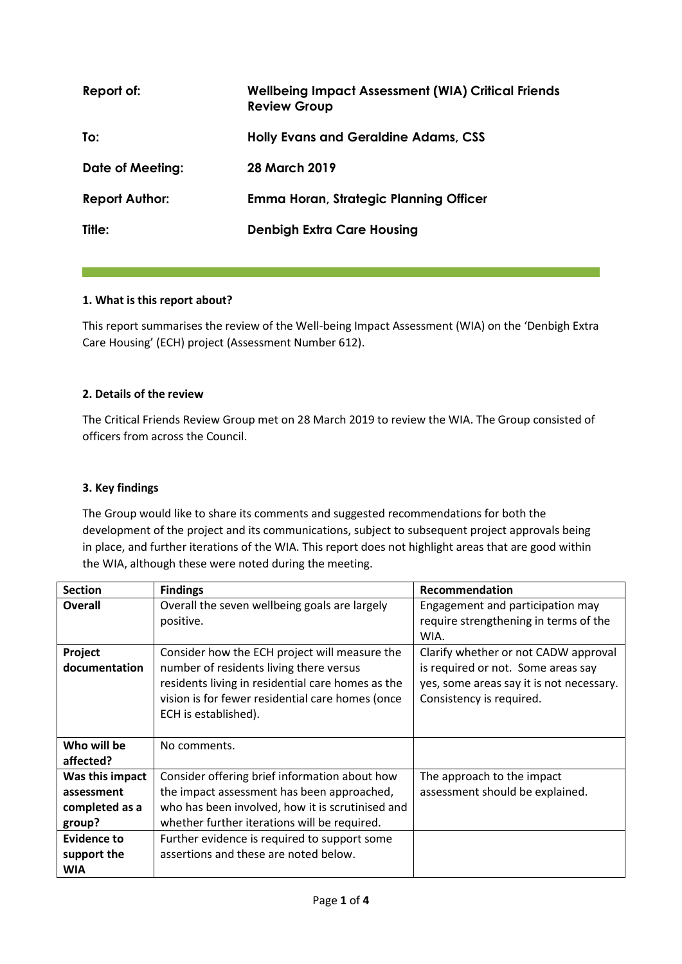| Report of:            | <b>Wellbeing Impact Assessment (WIA) Critical Friends</b><br><b>Review Group</b> |
|-----------------------|----------------------------------------------------------------------------------|
| To:                   | <b>Holly Evans and Geraldine Adams, CSS</b>                                      |
| Date of Meeting:      | 28 March 2019                                                                    |
| <b>Report Author:</b> | Emma Horan, Strategic Planning Officer                                           |
| Title:                | <b>Denbigh Extra Care Housing</b>                                                |

## **1. What is this report about?**

This report summarises the review of the Well-being Impact Assessment (WIA) on the 'Denbigh Extra Care Housing' (ECH) project (Assessment Number 612).

#### **2. Details of the review**

The Critical Friends Review Group met on 28 March 2019 to review the WIA. The Group consisted of officers from across the Council.

#### **3. Key findings**

The Group would like to share its comments and suggested recommendations for both the development of the project and its communications, subject to subsequent project approvals being in place, and further iterations of the WIA. This report does not highlight areas that are good within the WIA, although these were noted during the meeting.

| <b>Section</b>  | <b>Findings</b>                                   | Recommendation                           |
|-----------------|---------------------------------------------------|------------------------------------------|
| Overall         | Overall the seven wellbeing goals are largely     | Engagement and participation may         |
|                 | positive.                                         | require strengthening in terms of the    |
|                 |                                                   | WIA.                                     |
| Project         | Consider how the ECH project will measure the     | Clarify whether or not CADW approval     |
| documentation   | number of residents living there versus           | is required or not. Some areas say       |
|                 | residents living in residential care homes as the | yes, some areas say it is not necessary. |
|                 | vision is for fewer residential care homes (once  | Consistency is required.                 |
|                 | ECH is established).                              |                                          |
|                 |                                                   |                                          |
| Who will be     | No comments.                                      |                                          |
| affected?       |                                                   |                                          |
| Was this impact | Consider offering brief information about how     | The approach to the impact               |
| assessment      | the impact assessment has been approached,        | assessment should be explained.          |
| completed as a  | who has been involved, how it is scrutinised and  |                                          |
| group?          | whether further iterations will be required.      |                                          |
| Evidence to     | Further evidence is required to support some      |                                          |
| support the     | assertions and these are noted below.             |                                          |
| <b>WIA</b>      |                                                   |                                          |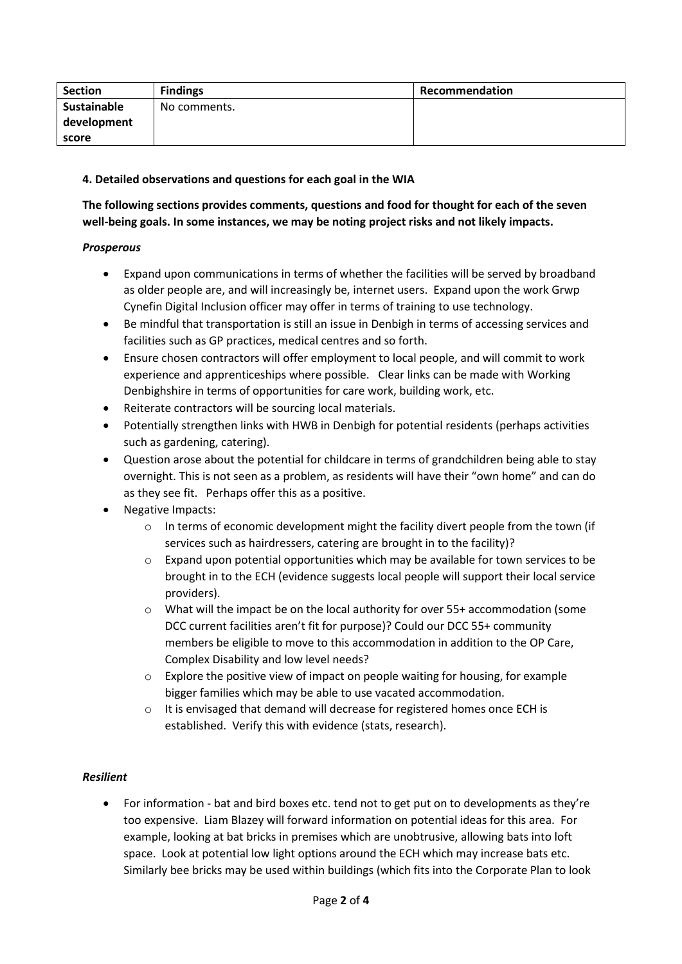| Section     | <b>Findings</b> | Recommendation |
|-------------|-----------------|----------------|
| Sustainable | No comments.    |                |
| development |                 |                |
| score       |                 |                |

# **4. Detailed observations and questions for each goal in the WIA**

# **The following sections provides comments, questions and food for thought for each of the seven well-being goals. In some instances, we may be noting project risks and not likely impacts.**

## *Prosperous*

- Expand upon communications in terms of whether the facilities will be served by broadband as older people are, and will increasingly be, internet users. Expand upon the work Grwp Cynefin Digital Inclusion officer may offer in terms of training to use technology.
- Be mindful that transportation is still an issue in Denbigh in terms of accessing services and facilities such as GP practices, medical centres and so forth.
- Ensure chosen contractors will offer employment to local people, and will commit to work experience and apprenticeships where possible. Clear links can be made with Working Denbighshire in terms of opportunities for care work, building work, etc.
- Reiterate contractors will be sourcing local materials.
- Potentially strengthen links with HWB in Denbigh for potential residents (perhaps activities such as gardening, catering).
- Question arose about the potential for childcare in terms of grandchildren being able to stay overnight. This is not seen as a problem, as residents will have their "own home" and can do as they see fit. Perhaps offer this as a positive.
- Negative Impacts:
	- $\circ$  In terms of economic development might the facility divert people from the town (if services such as hairdressers, catering are brought in to the facility)?
	- $\circ$  Expand upon potential opportunities which may be available for town services to be brought in to the ECH (evidence suggests local people will support their local service providers).
	- $\circ$  What will the impact be on the local authority for over 55+ accommodation (some DCC current facilities aren't fit for purpose)? Could our DCC 55+ community members be eligible to move to this accommodation in addition to the OP Care, Complex Disability and low level needs?
	- $\circ$  Explore the positive view of impact on people waiting for housing, for example bigger families which may be able to use vacated accommodation.
	- $\circ$  It is envisaged that demand will decrease for registered homes once ECH is established. Verify this with evidence (stats, research).

## *Resilient*

• For information - bat and bird boxes etc. tend not to get put on to developments as they're too expensive. Liam Blazey will forward information on potential ideas for this area. For example, looking at bat bricks in premises which are unobtrusive, allowing bats into loft space. Look at potential low light options around the ECH which may increase bats etc. Similarly bee bricks may be used within buildings (which fits into the Corporate Plan to look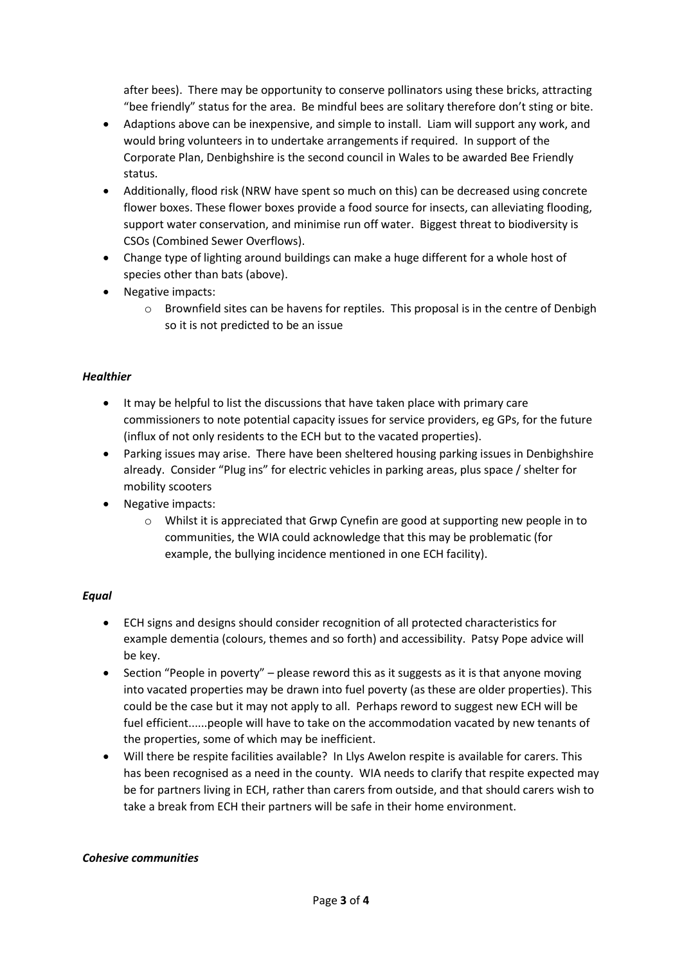after bees). There may be opportunity to conserve pollinators using these bricks, attracting "bee friendly" status for the area. Be mindful bees are solitary therefore don't sting or bite.

- Adaptions above can be inexpensive, and simple to install. Liam will support any work, and would bring volunteers in to undertake arrangements if required. In support of the Corporate Plan, Denbighshire is the second council in Wales to be awarded Bee Friendly status.
- Additionally, flood risk (NRW have spent so much on this) can be decreased using concrete flower boxes. These flower boxes provide a food source for insects, can alleviating flooding, support water conservation, and minimise run off water. Biggest threat to biodiversity is CSOs (Combined Sewer Overflows).
- Change type of lighting around buildings can make a huge different for a whole host of species other than bats (above).
- Negative impacts:
	- $\circ$  Brownfield sites can be havens for reptiles. This proposal is in the centre of Denbigh so it is not predicted to be an issue

# *Healthier*

- It may be helpful to list the discussions that have taken place with primary care commissioners to note potential capacity issues for service providers, eg GPs, for the future (influx of not only residents to the ECH but to the vacated properties).
- Parking issues may arise. There have been sheltered housing parking issues in Denbighshire already. Consider "Plug ins" for electric vehicles in parking areas, plus space / shelter for mobility scooters
- Negative impacts:
	- $\circ$  Whilst it is appreciated that Grwp Cynefin are good at supporting new people in to communities, the WIA could acknowledge that this may be problematic (for example, the bullying incidence mentioned in one ECH facility).

## *Equal*

- ECH signs and designs should consider recognition of all protected characteristics for example dementia (colours, themes and so forth) and accessibility. Patsy Pope advice will be key.
- **•** Section "People in poverty" please reword this as it suggests as it is that anyone moving into vacated properties may be drawn into fuel poverty (as these are older properties). This could be the case but it may not apply to all. Perhaps reword to suggest new ECH will be fuel efficient......people will have to take on the accommodation vacated by new tenants of the properties, some of which may be inefficient.
- Will there be respite facilities available? In Llys Awelon respite is available for carers. This has been recognised as a need in the county. WIA needs to clarify that respite expected may be for partners living in ECH, rather than carers from outside, and that should carers wish to take a break from ECH their partners will be safe in their home environment.

#### *Cohesive communities*